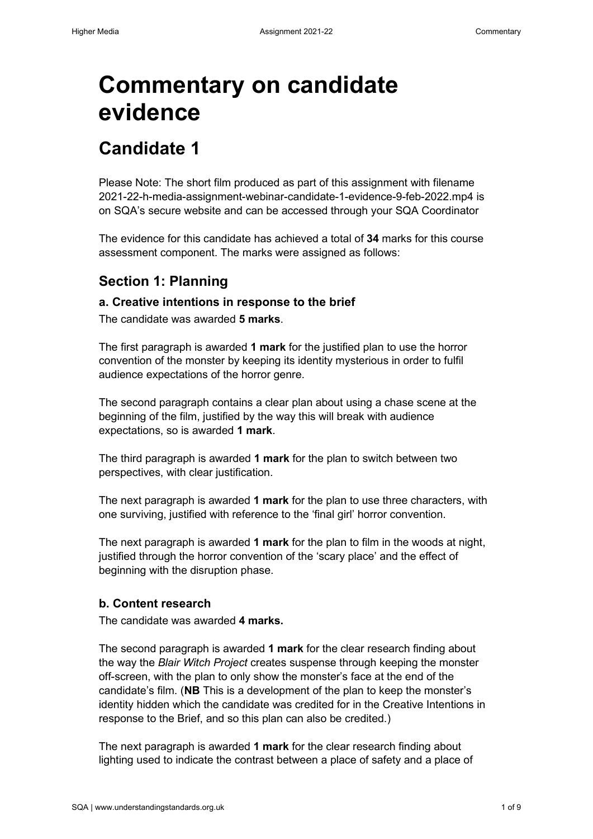# **Commentary on candidate evidence**

# **Candidate 1**

Please Note: The short film produced as part of this assignment with filename 2021-22-h-media-assignment-webinar-candidate-1-evidence-9-feb-2022.mp4 is on SQA's secure website and can be accessed through your SQA Coordinator

The evidence for this candidate has achieved a total of **34** marks for this course assessment component. The marks were assigned as follows:

### **Section 1: Planning**

### **a. Creative intentions in response to the brief**

The candidate was awarded **5 marks**.

The first paragraph is awarded **1 mark** for the justified plan to use the horror convention of the monster by keeping its identity mysterious in order to fulfil audience expectations of the horror genre.

The second paragraph contains a clear plan about using a chase scene at the beginning of the film, justified by the way this will break with audience expectations, so is awarded **1 mark**.

The third paragraph is awarded **1 mark** for the plan to switch between two perspectives, with clear justification.

The next paragraph is awarded **1 mark** for the plan to use three characters, with one surviving, justified with reference to the 'final girl' horror convention.

The next paragraph is awarded **1 mark** for the plan to film in the woods at night, justified through the horror convention of the 'scary place' and the effect of beginning with the disruption phase.

### **b. Content research**

The candidate was awarded **4 marks.**

The second paragraph is awarded **1 mark** for the clear research finding about the way the *Blair Witch Project* creates suspense through keeping the monster off-screen, with the plan to only show the monster's face at the end of the candidate's film. (**NB** This is a development of the plan to keep the monster's identity hidden which the candidate was credited for in the Creative Intentions in response to the Brief, and so this plan can also be credited.)

The next paragraph is awarded **1 mark** for the clear research finding about lighting used to indicate the contrast between a place of safety and a place of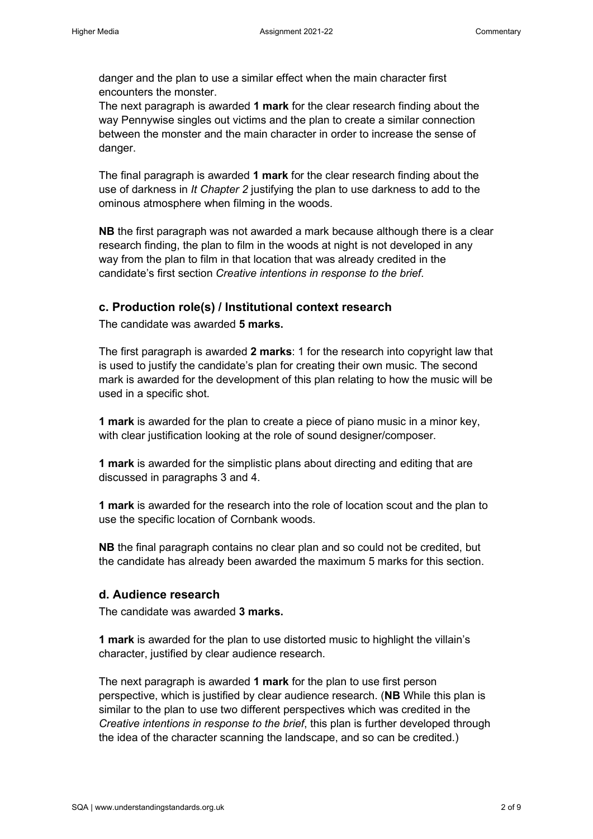danger and the plan to use a similar effect when the main character first encounters the monster.

The next paragraph is awarded **1 mark** for the clear research finding about the way Pennywise singles out victims and the plan to create a similar connection between the monster and the main character in order to increase the sense of danger.

The final paragraph is awarded **1 mark** for the clear research finding about the use of darkness in *It Chapter 2* justifying the plan to use darkness to add to the ominous atmosphere when filming in the woods.

**NB** the first paragraph was not awarded a mark because although there is a clear research finding, the plan to film in the woods at night is not developed in any way from the plan to film in that location that was already credited in the candidate's first section *Creative intentions in response to the brief*.

### **c. Production role(s) / Institutional context research**

The candidate was awarded **5 marks.** 

The first paragraph is awarded **2 marks**: 1 for the research into copyright law that is used to justify the candidate's plan for creating their own music. The second mark is awarded for the development of this plan relating to how the music will be used in a specific shot.

**1 mark** is awarded for the plan to create a piece of piano music in a minor key, with clear justification looking at the role of sound designer/composer.

**1 mark** is awarded for the simplistic plans about directing and editing that are discussed in paragraphs 3 and 4.

**1 mark** is awarded for the research into the role of location scout and the plan to use the specific location of Cornbank woods.

**NB** the final paragraph contains no clear plan and so could not be credited, but the candidate has already been awarded the maximum 5 marks for this section.

### **d. Audience research**

The candidate was awarded **3 marks.** 

**1 mark** is awarded for the plan to use distorted music to highlight the villain's character, justified by clear audience research.

The next paragraph is awarded **1 mark** for the plan to use first person perspective, which is justified by clear audience research. (**NB** While this plan is similar to the plan to use two different perspectives which was credited in the *Creative intentions in response to the brief*, this plan is further developed through the idea of the character scanning the landscape, and so can be credited.)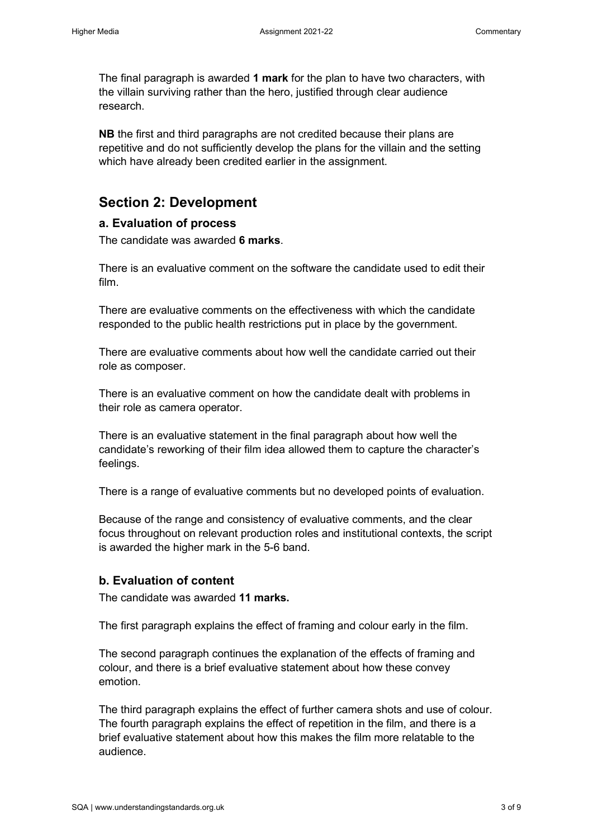The final paragraph is awarded **1 mark** for the plan to have two characters, with the villain surviving rather than the hero, justified through clear audience research.

**NB** the first and third paragraphs are not credited because their plans are repetitive and do not sufficiently develop the plans for the villain and the setting which have already been credited earlier in the assignment.

### **Section 2: Development**

### **a. Evaluation of process**

The candidate was awarded **6 marks**.

There is an evaluative comment on the software the candidate used to edit their film.

There are evaluative comments on the effectiveness with which the candidate responded to the public health restrictions put in place by the government.

There are evaluative comments about how well the candidate carried out their role as composer.

There is an evaluative comment on how the candidate dealt with problems in their role as camera operator.

There is an evaluative statement in the final paragraph about how well the candidate's reworking of their film idea allowed them to capture the character's feelings.

There is a range of evaluative comments but no developed points of evaluation.

Because of the range and consistency of evaluative comments, and the clear focus throughout on relevant production roles and institutional contexts, the script is awarded the higher mark in the 5-6 band.

### **b. Evaluation of content**

The candidate was awarded **11 marks.** 

The first paragraph explains the effect of framing and colour early in the film.

The second paragraph continues the explanation of the effects of framing and colour, and there is a brief evaluative statement about how these convey emotion.

The third paragraph explains the effect of further camera shots and use of colour. The fourth paragraph explains the effect of repetition in the film, and there is a brief evaluative statement about how this makes the film more relatable to the audience.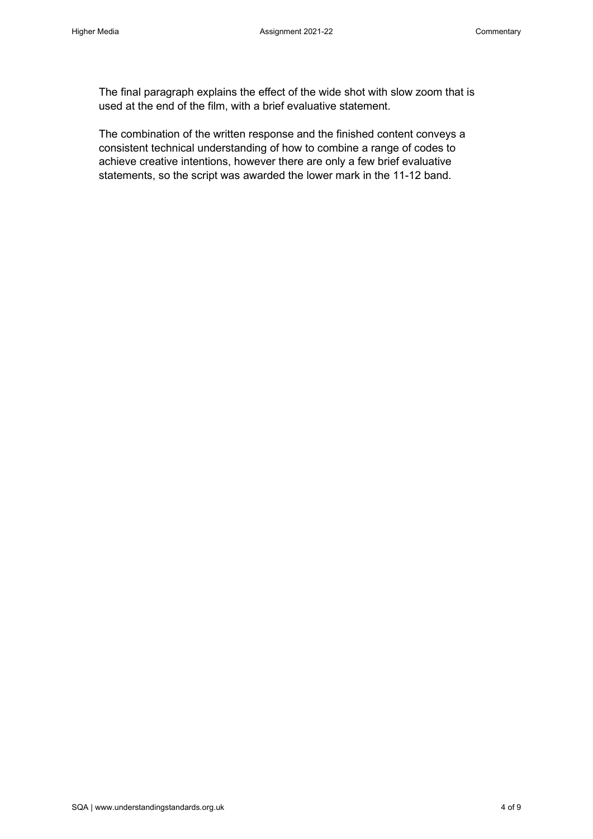The final paragraph explains the effect of the wide shot with slow zoom that is used at the end of the film, with a brief evaluative statement.

The combination of the written response and the finished content conveys a consistent technical understanding of how to combine a range of codes to achieve creative intentions, however there are only a few brief evaluative statements, so the script was awarded the lower mark in the 11-12 band.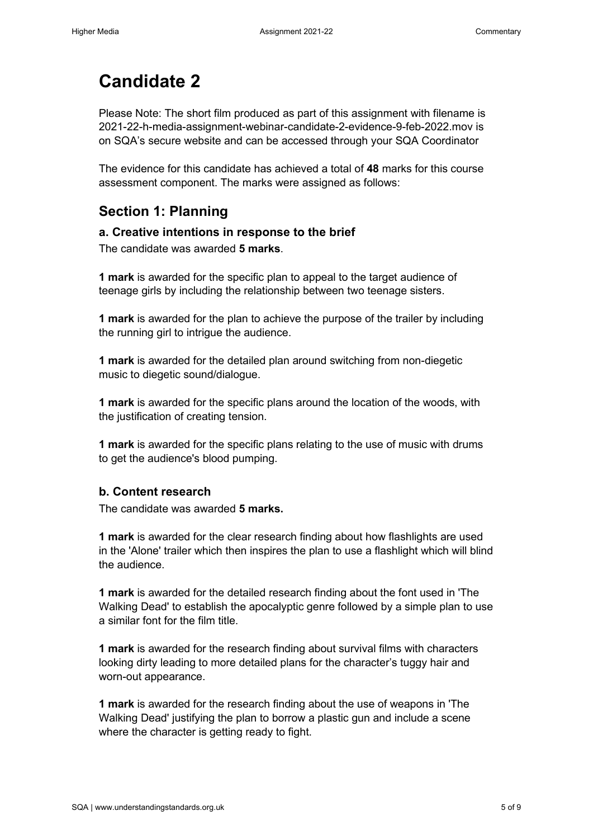# **Candidate 2**

Please Note: The short film produced as part of this assignment with filename is 2021-22-h-media-assignment-webinar-candidate-2-evidence-9-feb-2022.mov is on SQA's secure website and can be accessed through your SQA Coordinator

The evidence for this candidate has achieved a total of **48** marks for this course assessment component. The marks were assigned as follows:

## **Section 1: Planning**

### **a. Creative intentions in response to the brief**

The candidate was awarded **5 marks**.

**1 mark** is awarded for the specific plan to appeal to the target audience of teenage girls by including the relationship between two teenage sisters.

**1 mark** is awarded for the plan to achieve the purpose of the trailer by including the running girl to intrigue the audience.

**1 mark** is awarded for the detailed plan around switching from non-diegetic music to diegetic sound/dialogue.

**1 mark** is awarded for the specific plans around the location of the woods, with the justification of creating tension.

**1 mark** is awarded for the specific plans relating to the use of music with drums to get the audience's blood pumping.

### **b. Content research**

The candidate was awarded **5 marks.** 

**1 mark** is awarded for the clear research finding about how flashlights are used in the 'Alone' trailer which then inspires the plan to use a flashlight which will blind the audience.

**1 mark** is awarded for the detailed research finding about the font used in 'The Walking Dead' to establish the apocalyptic genre followed by a simple plan to use a similar font for the film title.

**1 mark** is awarded for the research finding about survival films with characters looking dirty leading to more detailed plans for the character's tuggy hair and worn-out appearance.

**1 mark** is awarded for the research finding about the use of weapons in 'The Walking Dead' justifying the plan to borrow a plastic gun and include a scene where the character is getting ready to fight.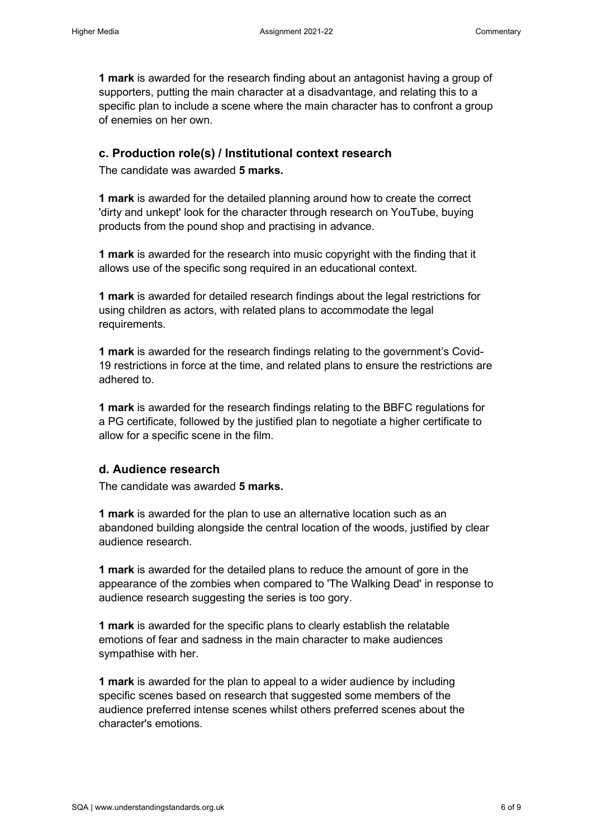**1 mark** is awarded for the research finding about an antagonist having a group of supporters, putting the main character at a disadvantage, and relating this to a specific plan to include a scene where the main character has to confront a group of enemies on her own.

### **c. Production role(s) / Institutional context research**

The candidate was awarded **5 marks.** 

**1 mark** is awarded for the detailed planning around how to create the correct 'dirty and unkept' look for the character through research on YouTube, buying products from the pound shop and practising in advance.

**1 mark** is awarded for the research into music copyright with the finding that it allows use of the specific song required in an educational context.

**1 mark** is awarded for detailed research findings about the legal restrictions for using children as actors, with related plans to accommodate the legal requirements.

**1 mark** is awarded for the research findings relating to the government's Covid-19 restrictions in force at the time, and related plans to ensure the restrictions are adhered to.

**1 mark** is awarded for the research findings relating to the BBFC regulations for a PG certificate, followed by the justified plan to negotiate a higher certificate to allow for a specific scene in the film.

### **d. Audience research**

The candidate was awarded **5 marks.** 

**1 mark** is awarded for the plan to use an alternative location such as an abandoned building alongside the central location of the woods, justified by clear audience research.

**1 mark** is awarded for the detailed plans to reduce the amount of gore in the appearance of the zombies when compared to 'The Walking Dead' in response to audience research suggesting the series is too gory.

**1 mark** is awarded for the specific plans to clearly establish the relatable emotions of fear and sadness in the main character to make audiences sympathise with her.

**1 mark** is awarded for the plan to appeal to a wider audience by including specific scenes based on research that suggested some members of the audience preferred intense scenes whilst others preferred scenes about the character's emotions.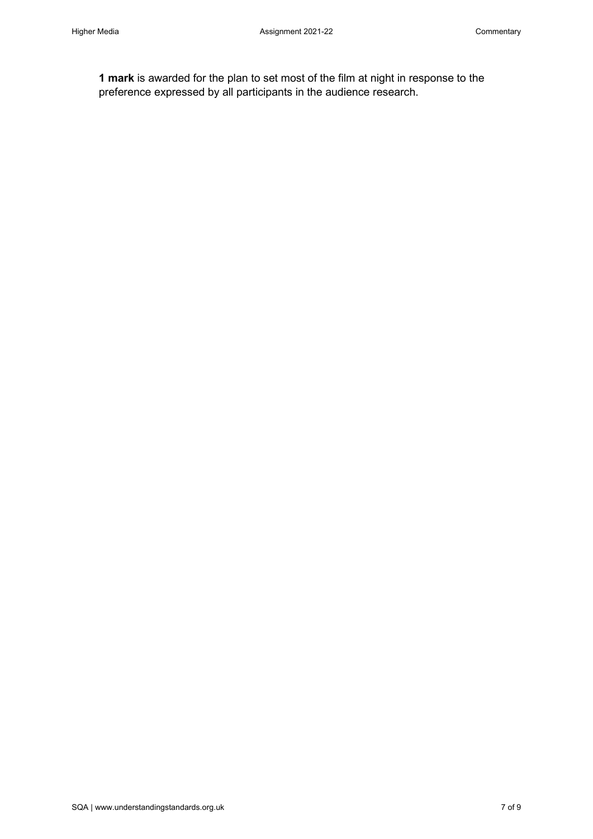**1 mark** is awarded for the plan to set most of the film at night in response to the preference expressed by all participants in the audience research.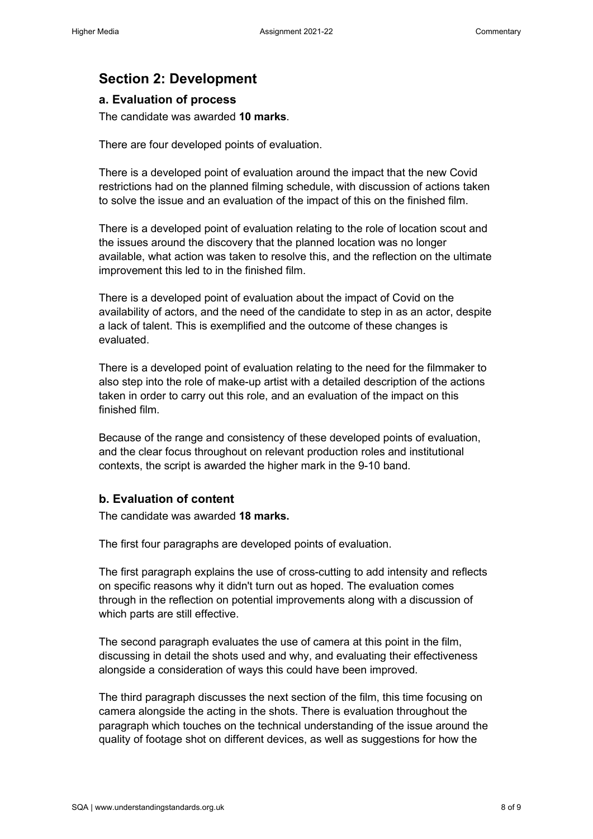# **Section 2: Development**

### **a. Evaluation of process**

The candidate was awarded **10 marks**.

There are four developed points of evaluation.

There is a developed point of evaluation around the impact that the new Covid restrictions had on the planned filming schedule, with discussion of actions taken to solve the issue and an evaluation of the impact of this on the finished film.

There is a developed point of evaluation relating to the role of location scout and the issues around the discovery that the planned location was no longer available, what action was taken to resolve this, and the reflection on the ultimate improvement this led to in the finished film.

There is a developed point of evaluation about the impact of Covid on the availability of actors, and the need of the candidate to step in as an actor, despite a lack of talent. This is exemplified and the outcome of these changes is evaluated.

There is a developed point of evaluation relating to the need for the filmmaker to also step into the role of make-up artist with a detailed description of the actions taken in order to carry out this role, and an evaluation of the impact on this finished film.

Because of the range and consistency of these developed points of evaluation, and the clear focus throughout on relevant production roles and institutional contexts, the script is awarded the higher mark in the 9-10 band.

### **b. Evaluation of content**

The candidate was awarded **18 marks.** 

The first four paragraphs are developed points of evaluation.

The first paragraph explains the use of cross-cutting to add intensity and reflects on specific reasons why it didn't turn out as hoped. The evaluation comes through in the reflection on potential improvements along with a discussion of which parts are still effective.

The second paragraph evaluates the use of camera at this point in the film, discussing in detail the shots used and why, and evaluating their effectiveness alongside a consideration of ways this could have been improved.

The third paragraph discusses the next section of the film, this time focusing on camera alongside the acting in the shots. There is evaluation throughout the paragraph which touches on the technical understanding of the issue around the quality of footage shot on different devices, as well as suggestions for how the